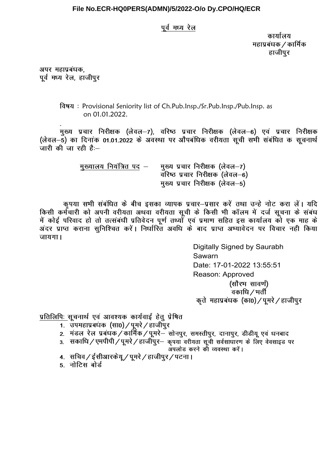## File No.ECR-HQ0PERS(ADMN)/5/2022-O/o Dy.CPO/HQ/ECR

## पूर्व मध्य रेल

कार्यालय महाप्रबंधक / कार्मिक हाजीपुर

अपर महाप्रबंधक, पूर्व मध्य रेल, हाजीपुर

> विषय: Provisional Seniority list of Ch.Pub.Insp./Sr.Pub.Insp./Pub.Insp. as on 01.01.2022.

मुख्य प्रचार निरीक्षक (लेवल-7), वरिष्ठ प्रचार निरीक्षक (लेवल-6) एवं प्रचार निरीक्षक (लेवल–5) का दिनांक 01.01.2022 के अवस्था पर औपबंधिक वरीयता सची सभी संबंधित क सचनार्थ जारी की जा रही है: $-$ 

| मुख्यालय नियंत्रित पद – | मुख्य प्रचार निरीक्षक (लेवल–7)  |
|-------------------------|---------------------------------|
|                         | वरिष्ठ प्रचार निरीक्षक (लेवल–6) |
|                         | मुख्य प्रचार निरीक्षक (लेवल–5)  |

कृपया सभी संबंधित के बीच इसका व्यापक प्रचार-प्रसार करें तथा उन्हे नोट करा लें। यदि किसी कर्मचारी को अपनी वरीयता अथवा वरीयता सूची के किसी भी कॉलम में दर्ज सूचना के संबंध में कोई परिवाद हो तो तत्संबंधी प्रतिवेदन पूर्ण तथ्यों एवं प्रमाण सहित इस कार्यालय को एक माह के अंदर प्राप्त कराना सुनिश्चित करें। निर्धारित अवधि के बाद प्राप्त अभ्यावेदन पर विचार नही किया जायगा।

> Digitally Signed by Saurabh Sawarn Date: 17-01-2022 13:55:51 Reason: Approved (सौरभ सावर्ण) ्<br>वकाधि */* भर्ती कृते महाप्रबंधक (कां0)/पूमरे/हाजीपुर

प्रतिलिपिः सचनार्थ एवं आवश्यक कार्यवाई हेतु प्रेषित

- संपमहाप्रबंधक (सा0) / पूमरे / हाजीपुर
- 2. मंडल रेल प्रबंधक / कार्मिक / पूमरे– सोनपुर, समस्तीपुर, दानापुर, डीडीयू एवं धनबाद
- 3. सकाधि / एमपीपी / पुमरे / हाजीपुर- कृपया वरीयता सूची सर्वसाधारण के लिए वेवसाइड पर अपलोड करने को व्यवस्था करें।
- 4. सचिव / ईसीआरकेयू / पुमरे / हाजीपूर / पटना।
- 5. नोटिस बोर्ड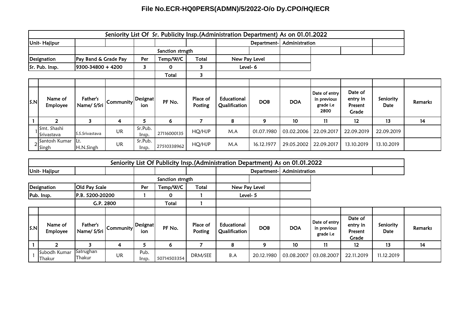## **File No.ECR-HQ0PERS(ADMN)/5/2022-O/o Dy.CPO/HQ/ECR**

|                                     | Seniority List Of Sr. Publicity Insp. (Administration Department) As on 01.01.2022 |                         |                  |                  |             |                     |                              |                |            |                                                          |                                         |                   |         |
|-------------------------------------|------------------------------------------------------------------------------------|-------------------------|------------------|------------------|-------------|---------------------|------------------------------|----------------|------------|----------------------------------------------------------|-----------------------------------------|-------------------|---------|
| <b>Unit-Hajipur</b>                 |                                                                                    |                         |                  |                  |             | Department-         |                              | Administration |            |                                                          |                                         |                   |         |
|                                     |                                                                                    |                         | Sanction strngth |                  |             |                     |                              |                |            |                                                          |                                         |                   |         |
| Pay Band & Grade Pay<br>Designation |                                                                                    |                         | Per              | Temp/W/C         | Total       |                     | New Pay Level                |                |            |                                                          |                                         |                   |         |
|                                     | Sr. Pub. Insp.<br>9300-34800 + 4200                                                |                         | 3                | 0                | 3           | Level-6             |                              |                |            |                                                          |                                         |                   |         |
|                                     |                                                                                    |                         |                  |                  | Total       | 3                   |                              |                |            |                                                          |                                         |                   |         |
|                                     |                                                                                    |                         |                  |                  |             |                     |                              |                |            |                                                          |                                         |                   |         |
| S.N                                 | Name of<br><b>Employee</b>                                                         | Father's<br>Name/ S/Sri | Community        | Designat<br>ion  | PF No.      | Place of<br>Posting | Educational<br>Qualification | <b>DOB</b>     | <b>DOA</b> | Date of entry<br>in previous<br>grade <i>i.e</i><br>2800 | Date of<br>entry in<br>Present<br>Grade | Seniority<br>Date | Remarks |
|                                     |                                                                                    | 3                       | 4                | 5.               | 6           | 7                   | 8                            | 9              | 10         | 11                                                       | $12 \,$                                 | 13                | 14      |
|                                     | Smt. Shashi<br>Srivastava                                                          | S.S.Srivastava          | UR               | Sr.Pub.<br>Insp. | 27116000135 | HQ/HJP              | M.A                          | 01.07.1980     | 03.02.2006 | 22.09.2017                                               | 22.09.2019                              | 22.09.2019        |         |
|                                     | 2 <sup>Santosh</sup> Kumar<br>Singh                                                | Lt.<br>H.N.Singh        | UR               | Sr.Pub.<br>lnsp. | 27510338962 | HQ/HJP              | M.A                          | 16.12.1977     | 29.05.2002 | 22.09.2017                                               | 13.10.2019                              | 13.10.2019        |         |

|              |                        |                         |           |                        |             |                     | Seniority List Of Publicity Insp. (Administration Department) As on 01.01.2022 |                |            |                                                  |                                         |                          |         |
|--------------|------------------------|-------------------------|-----------|------------------------|-------------|---------------------|--------------------------------------------------------------------------------|----------------|------------|--------------------------------------------------|-----------------------------------------|--------------------------|---------|
| Unit-Hajipur |                        |                         |           |                        |             |                     | Department-                                                                    | Administration |            |                                                  |                                         |                          |         |
|              |                        |                         |           | Sanction strngth       |             |                     |                                                                                |                |            |                                                  |                                         |                          |         |
| Designation  |                        | Old Pay Scale           |           | Per                    | Temp/W/C    | Total               | New Pay Level                                                                  |                |            |                                                  |                                         |                          |         |
| Pub. Insp.   |                        | P.B. 5200-20200         |           |                        | 0           |                     | Level- 5                                                                       |                |            |                                                  |                                         |                          |         |
|              |                        |                         | G.P. 2800 |                        | Total       |                     |                                                                                |                |            |                                                  |                                         |                          |         |
|              |                        |                         |           |                        |             |                     |                                                                                |                |            |                                                  |                                         |                          |         |
| S.N          | Name of<br>Employee    | Father's<br>Name/ S/Sri | Community | <b>Designat</b><br>ion | PF No.      | Place of<br>Posting | Educational<br>Qualification                                                   | <b>DOB</b>     | <b>DOA</b> | Date of entry<br>in previous<br>grade <i>i.e</i> | Date of<br>entry in<br>Present<br>Grade | Seniority<br><b>Date</b> | Remarks |
|              | 2                      |                         | 4         | כ                      | 6           |                     | 8                                                                              | 9              | 10         | $\mathbf{11}$                                    | $12 \overline{ }$                       | 13                       | 14      |
|              | Subodh Kumar<br>Thakur | Satrughan<br>Thakur     | UR        | Pub.<br>Insp.          | 50714503354 | DRM/SEE             | B.A                                                                            | 20.12.1980     | 03.08.2007 | 03.08.2007                                       | 22.11.2019                              | 11.12.2019               |         |